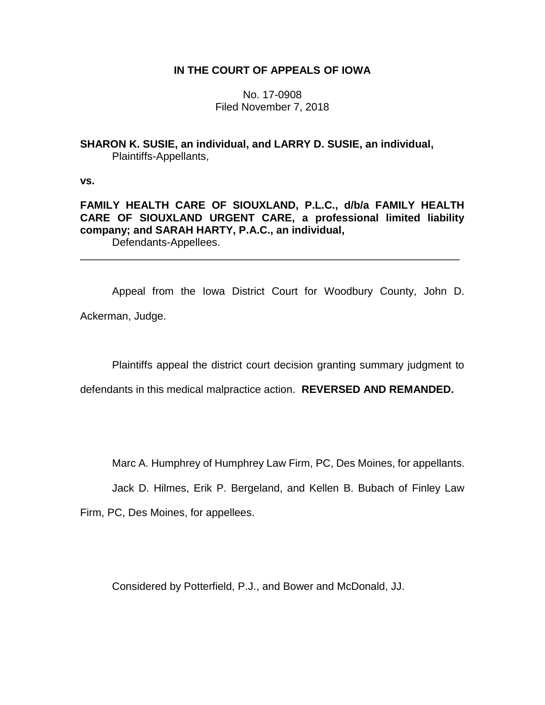## **IN THE COURT OF APPEALS OF IOWA**

No. 17-0908 Filed November 7, 2018

**SHARON K. SUSIE, an individual, and LARRY D. SUSIE, an individual,** Plaintiffs-Appellants,

**vs.**

**FAMILY HEALTH CARE OF SIOUXLAND, P.L.C., d/b/a FAMILY HEALTH CARE OF SIOUXLAND URGENT CARE, a professional limited liability company; and SARAH HARTY, P.A.C., an individual,** Defendants-Appellees.

\_\_\_\_\_\_\_\_\_\_\_\_\_\_\_\_\_\_\_\_\_\_\_\_\_\_\_\_\_\_\_\_\_\_\_\_\_\_\_\_\_\_\_\_\_\_\_\_\_\_\_\_\_\_\_\_\_\_\_\_\_\_\_\_

Appeal from the Iowa District Court for Woodbury County, John D. Ackerman, Judge.

Plaintiffs appeal the district court decision granting summary judgment to

defendants in this medical malpractice action. **REVERSED AND REMANDED.**

Marc A. Humphrey of Humphrey Law Firm, PC, Des Moines, for appellants.

Jack D. Hilmes, Erik P. Bergeland, and Kellen B. Bubach of Finley Law

Firm, PC, Des Moines, for appellees.

Considered by Potterfield, P.J., and Bower and McDonald, JJ.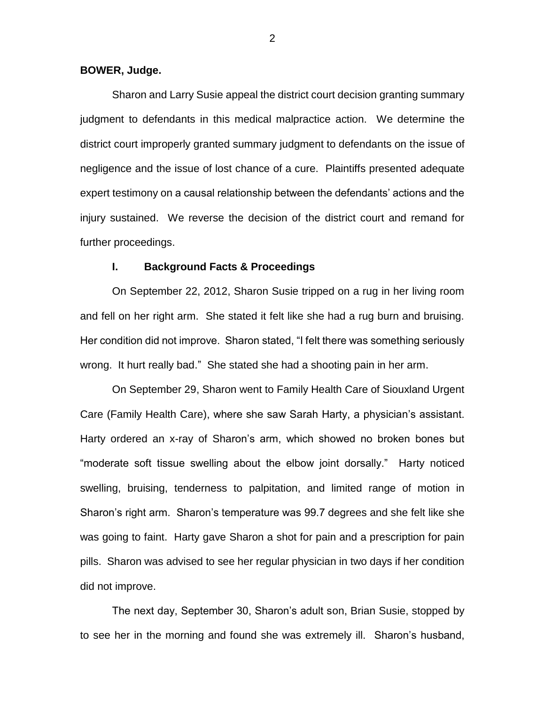### **BOWER, Judge.**

Sharon and Larry Susie appeal the district court decision granting summary judgment to defendants in this medical malpractice action. We determine the district court improperly granted summary judgment to defendants on the issue of negligence and the issue of lost chance of a cure. Plaintiffs presented adequate expert testimony on a causal relationship between the defendants' actions and the injury sustained. We reverse the decision of the district court and remand for further proceedings.

### **I. Background Facts & Proceedings**

On September 22, 2012, Sharon Susie tripped on a rug in her living room and fell on her right arm. She stated it felt like she had a rug burn and bruising. Her condition did not improve. Sharon stated, "I felt there was something seriously wrong. It hurt really bad." She stated she had a shooting pain in her arm.

On September 29, Sharon went to Family Health Care of Siouxland Urgent Care (Family Health Care), where she saw Sarah Harty, a physician's assistant. Harty ordered an x-ray of Sharon's arm, which showed no broken bones but "moderate soft tissue swelling about the elbow joint dorsally." Harty noticed swelling, bruising, tenderness to palpitation, and limited range of motion in Sharon's right arm. Sharon's temperature was 99.7 degrees and she felt like she was going to faint. Harty gave Sharon a shot for pain and a prescription for pain pills. Sharon was advised to see her regular physician in two days if her condition did not improve.

The next day, September 30, Sharon's adult son, Brian Susie, stopped by to see her in the morning and found she was extremely ill. Sharon's husband,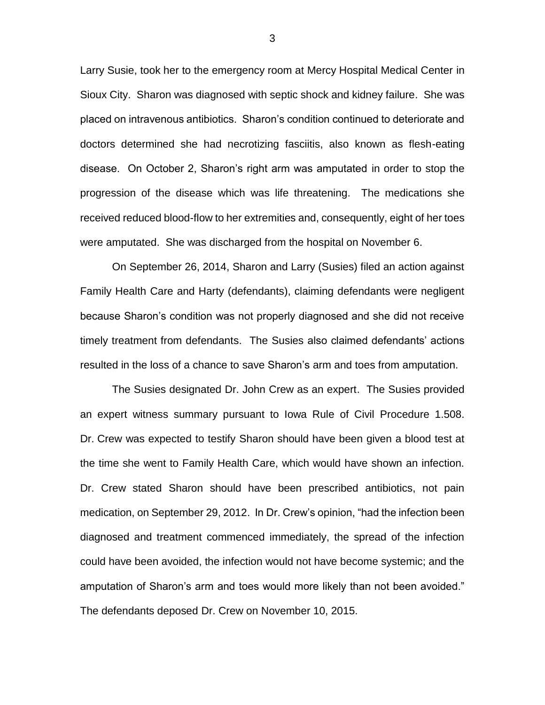Larry Susie, took her to the emergency room at Mercy Hospital Medical Center in Sioux City. Sharon was diagnosed with septic shock and kidney failure. She was placed on intravenous antibiotics. Sharon's condition continued to deteriorate and doctors determined she had necrotizing fasciitis, also known as flesh-eating disease. On October 2, Sharon's right arm was amputated in order to stop the progression of the disease which was life threatening. The medications she received reduced blood-flow to her extremities and, consequently, eight of her toes were amputated. She was discharged from the hospital on November 6.

On September 26, 2014, Sharon and Larry (Susies) filed an action against Family Health Care and Harty (defendants), claiming defendants were negligent because Sharon's condition was not properly diagnosed and she did not receive timely treatment from defendants. The Susies also claimed defendants' actions resulted in the loss of a chance to save Sharon's arm and toes from amputation.

The Susies designated Dr. John Crew as an expert. The Susies provided an expert witness summary pursuant to Iowa Rule of Civil Procedure 1.508. Dr. Crew was expected to testify Sharon should have been given a blood test at the time she went to Family Health Care, which would have shown an infection. Dr. Crew stated Sharon should have been prescribed antibiotics, not pain medication, on September 29, 2012. In Dr. Crew's opinion, "had the infection been diagnosed and treatment commenced immediately, the spread of the infection could have been avoided, the infection would not have become systemic; and the amputation of Sharon's arm and toes would more likely than not been avoided." The defendants deposed Dr. Crew on November 10, 2015.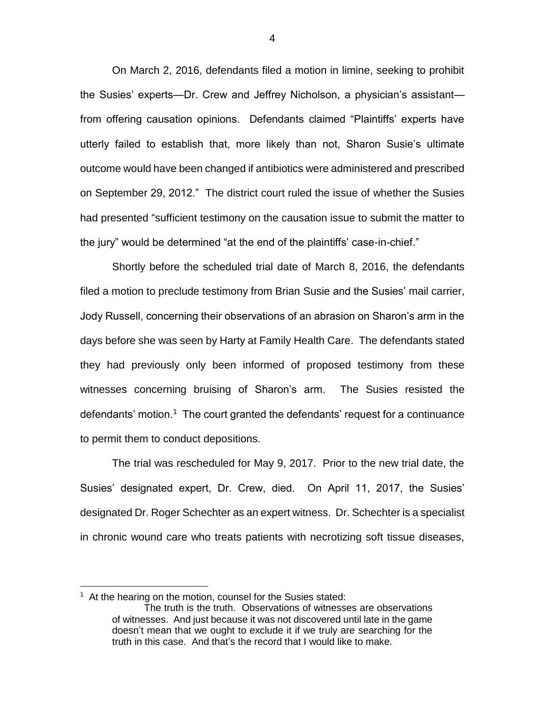On March 2, 2016, defendants filed a motion in limine, seeking to prohibit the Susies' experts—Dr. Crew and Jeffrey Nicholson, a physician's assistant from offering causation opinions. Defendants claimed "Plaintiffs' experts have utterly failed to establish that, more likely than not, Sharon Susie's ultimate outcome would have been changed if antibiotics were administered and prescribed on September 29, 2012." The district court ruled the issue of whether the Susies had presented "sufficient testimony on the causation issue to submit the matter to the jury" would be determined "at the end of the plaintiffs' case-in-chief."

Shortly before the scheduled trial date of March 8, 2016, the defendants filed a motion to preclude testimony from Brian Susie and the Susies' mail carrier, Jody Russell, concerning their observations of an abrasion on Sharon's arm in the days before she was seen by Harty at Family Health Care. The defendants stated they had previously only been informed of proposed testimony from these witnesses concerning bruising of Sharon's arm. The Susies resisted the defendants' motion.<sup>1</sup> The court granted the defendants' request for a continuance to permit them to conduct depositions.

The trial was rescheduled for May 9, 2017. Prior to the new trial date, the Susies' designated expert, Dr. Crew, died. On April 11, 2017, the Susies' designated Dr. Roger Schechter as an expert witness. Dr. Schechter is a specialist in chronic wound care who treats patients with necrotizing soft tissue diseases,

 $\overline{a}$ 

<sup>&</sup>lt;sup>1</sup> At the hearing on the motion, counsel for the Susies stated:

The truth is the truth. Observations of witnesses are observations of witnesses. And just because it was not discovered until late in the game doesn't mean that we ought to exclude it if we truly are searching for the truth in this case. And that's the record that I would like to make.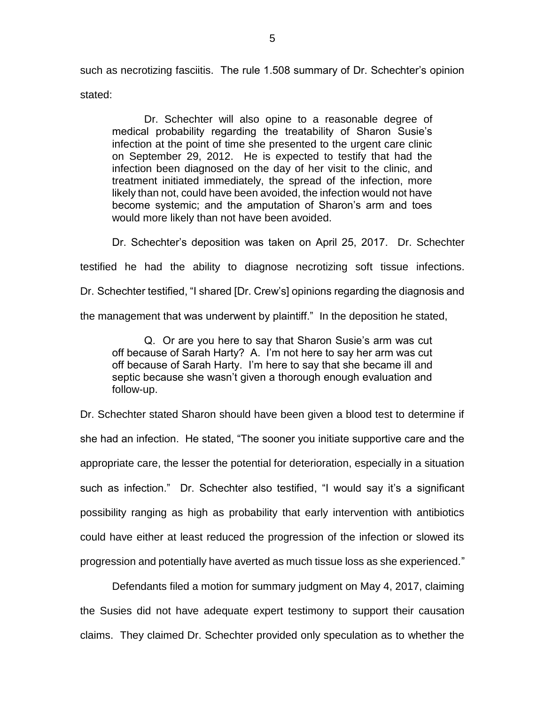such as necrotizing fasciitis. The rule 1.508 summary of Dr. Schechter's opinion stated:

Dr. Schechter will also opine to a reasonable degree of medical probability regarding the treatability of Sharon Susie's infection at the point of time she presented to the urgent care clinic on September 29, 2012. He is expected to testify that had the infection been diagnosed on the day of her visit to the clinic, and treatment initiated immediately, the spread of the infection, more likely than not, could have been avoided, the infection would not have become systemic; and the amputation of Sharon's arm and toes would more likely than not have been avoided.

Dr. Schechter's deposition was taken on April 25, 2017. Dr. Schechter testified he had the ability to diagnose necrotizing soft tissue infections. Dr. Schechter testified, "I shared [Dr. Crew's] opinions regarding the diagnosis and the management that was underwent by plaintiff." In the deposition he stated,

Q. Or are you here to say that Sharon Susie's arm was cut off because of Sarah Harty? A. I'm not here to say her arm was cut off because of Sarah Harty. I'm here to say that she became ill and septic because she wasn't given a thorough enough evaluation and follow-up.

Dr. Schechter stated Sharon should have been given a blood test to determine if she had an infection. He stated, "The sooner you initiate supportive care and the appropriate care, the lesser the potential for deterioration, especially in a situation such as infection." Dr. Schechter also testified, "I would say it's a significant possibility ranging as high as probability that early intervention with antibiotics could have either at least reduced the progression of the infection or slowed its progression and potentially have averted as much tissue loss as she experienced."

Defendants filed a motion for summary judgment on May 4, 2017, claiming the Susies did not have adequate expert testimony to support their causation claims. They claimed Dr. Schechter provided only speculation as to whether the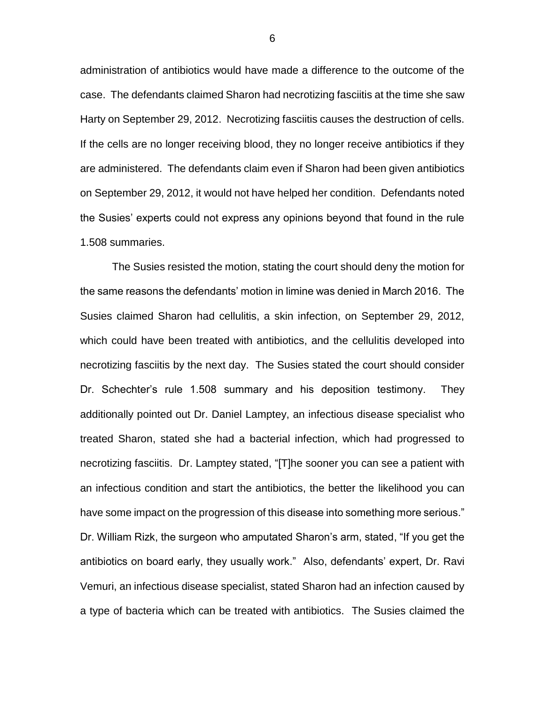administration of antibiotics would have made a difference to the outcome of the case. The defendants claimed Sharon had necrotizing fasciitis at the time she saw Harty on September 29, 2012. Necrotizing fasciitis causes the destruction of cells. If the cells are no longer receiving blood, they no longer receive antibiotics if they are administered. The defendants claim even if Sharon had been given antibiotics on September 29, 2012, it would not have helped her condition. Defendants noted the Susies' experts could not express any opinions beyond that found in the rule 1.508 summaries.

The Susies resisted the motion, stating the court should deny the motion for the same reasons the defendants' motion in limine was denied in March 2016. The Susies claimed Sharon had cellulitis, a skin infection, on September 29, 2012, which could have been treated with antibiotics, and the cellulitis developed into necrotizing fasciitis by the next day. The Susies stated the court should consider Dr. Schechter's rule 1.508 summary and his deposition testimony. They additionally pointed out Dr. Daniel Lamptey, an infectious disease specialist who treated Sharon, stated she had a bacterial infection, which had progressed to necrotizing fasciitis. Dr. Lamptey stated, "[T]he sooner you can see a patient with an infectious condition and start the antibiotics, the better the likelihood you can have some impact on the progression of this disease into something more serious." Dr. William Rizk, the surgeon who amputated Sharon's arm, stated, "If you get the antibiotics on board early, they usually work." Also, defendants' expert, Dr. Ravi Vemuri, an infectious disease specialist, stated Sharon had an infection caused by a type of bacteria which can be treated with antibiotics. The Susies claimed the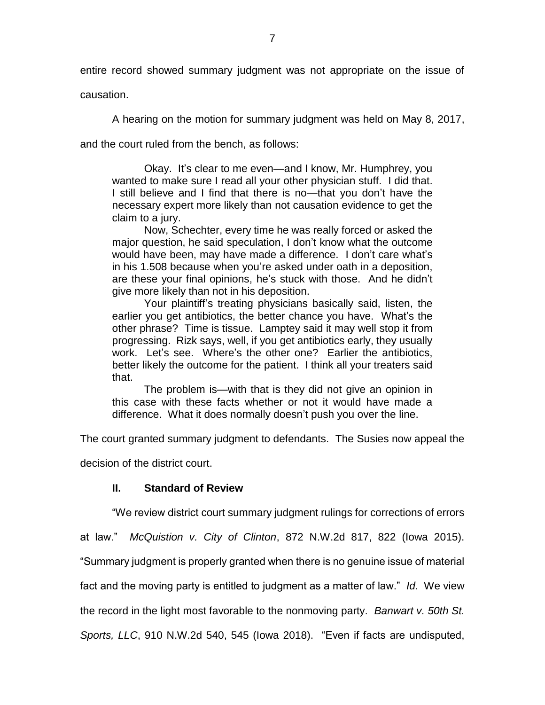entire record showed summary judgment was not appropriate on the issue of

causation.

A hearing on the motion for summary judgment was held on May 8, 2017,

and the court ruled from the bench, as follows:

Okay. It's clear to me even—and I know, Mr. Humphrey, you wanted to make sure I read all your other physician stuff. I did that. I still believe and I find that there is no—that you don't have the necessary expert more likely than not causation evidence to get the claim to a jury.

Now, Schechter, every time he was really forced or asked the major question, he said speculation, I don't know what the outcome would have been, may have made a difference. I don't care what's in his 1.508 because when you're asked under oath in a deposition, are these your final opinions, he's stuck with those. And he didn't give more likely than not in his deposition.

Your plaintiff's treating physicians basically said, listen, the earlier you get antibiotics, the better chance you have. What's the other phrase? Time is tissue. Lamptey said it may well stop it from progressing. Rizk says, well, if you get antibiotics early, they usually work. Let's see. Where's the other one? Earlier the antibiotics, better likely the outcome for the patient. I think all your treaters said that.

The problem is—with that is they did not give an opinion in this case with these facts whether or not it would have made a difference. What it does normally doesn't push you over the line.

The court granted summary judgment to defendants. The Susies now appeal the

decision of the district court.

# **II. Standard of Review**

"We review district court summary judgment rulings for corrections of errors

at law." *McQuistion v. City of Clinton*, 872 N.W.2d 817, 822 (Iowa 2015).

"Summary judgment is properly granted when there is no genuine issue of material

fact and the moving party is entitled to judgment as a matter of law." *Id.* We view

the record in the light most favorable to the nonmoving party. *Banwart v. 50th St.* 

*Sports, LLC*, 910 N.W.2d 540, 545 (Iowa 2018). "Even if facts are undisputed,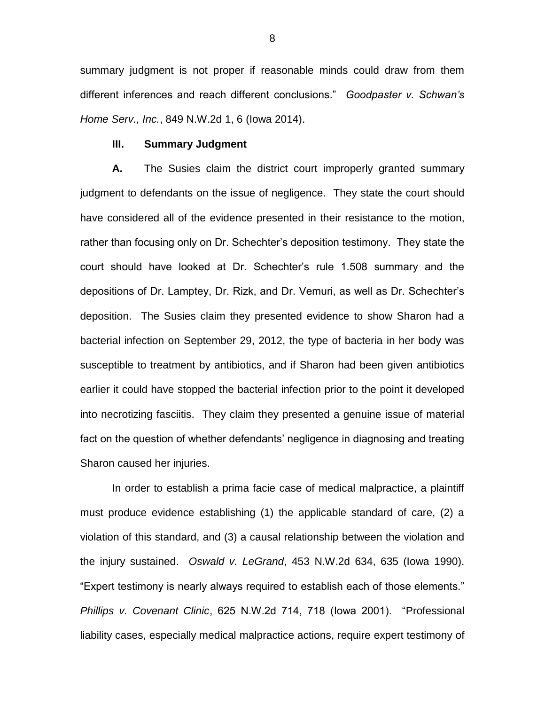summary judgment is not proper if reasonable minds could draw from them different inferences and reach different conclusions." *Goodpaster v. Schwan's Home Serv., Inc.*, 849 N.W.2d 1, 6 (Iowa 2014).

### **III. Summary Judgment**

**A.** The Susies claim the district court improperly granted summary judgment to defendants on the issue of negligence. They state the court should have considered all of the evidence presented in their resistance to the motion, rather than focusing only on Dr. Schechter's deposition testimony. They state the court should have looked at Dr. Schechter's rule 1.508 summary and the depositions of Dr. Lamptey, Dr. Rizk, and Dr. Vemuri, as well as Dr. Schechter's deposition. The Susies claim they presented evidence to show Sharon had a bacterial infection on September 29, 2012, the type of bacteria in her body was susceptible to treatment by antibiotics, and if Sharon had been given antibiotics earlier it could have stopped the bacterial infection prior to the point it developed into necrotizing fasciitis. They claim they presented a genuine issue of material fact on the question of whether defendants' negligence in diagnosing and treating Sharon caused her injuries.

In order to establish a prima facie case of medical malpractice, a plaintiff must produce evidence establishing (1) the applicable standard of care, (2) a violation of this standard, and (3) a causal relationship between the violation and the injury sustained. *Oswald v. LeGrand*, 453 N.W.2d 634, 635 (Iowa 1990). "Expert testimony is nearly always required to establish each of those elements." *Phillips v. Covenant Clinic*, 625 N.W.2d 714, 718 (Iowa 2001). "Professional liability cases, especially medical malpractice actions, require expert testimony of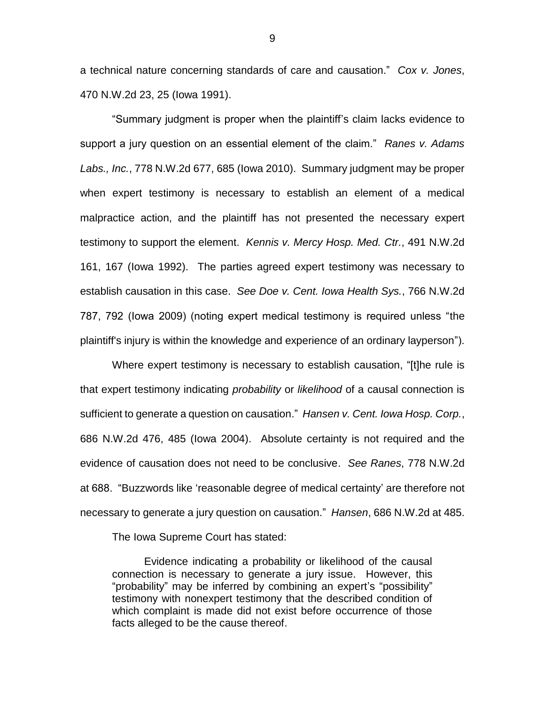a technical nature concerning standards of care and causation." *Cox v. Jones*, 470 N.W.2d 23, 25 (Iowa 1991).

"Summary judgment is proper when the plaintiff's claim lacks evidence to support a jury question on an essential element of the claim." *Ranes v. Adams Labs., Inc.*, 778 N.W.2d 677, 685 (Iowa 2010). Summary judgment may be proper when expert testimony is necessary to establish an element of a medical malpractice action, and the plaintiff has not presented the necessary expert testimony to support the element. *Kennis v. Mercy Hosp. Med. Ctr.*, 491 N.W.2d 161, 167 (Iowa 1992). The parties agreed expert testimony was necessary to establish causation in this case. *See Doe v. Cent. Iowa Health Sys.*, 766 N.W.2d 787, 792 (Iowa 2009) (noting expert medical testimony is required unless "the plaintiff's injury is within the knowledge and experience of an ordinary layperson").

Where expert testimony is necessary to establish causation, "[t]he rule is that expert testimony indicating *probability* or *likelihood* of a causal connection is sufficient to generate a question on causation." *Hansen v. Cent. Iowa Hosp. Corp.*, 686 N.W.2d 476, 485 (Iowa 2004). Absolute certainty is not required and the evidence of causation does not need to be conclusive. *See Ranes*, 778 N.W.2d at 688. "Buzzwords like 'reasonable degree of medical certainty' are therefore not necessary to generate a jury question on causation." *Hansen*, 686 N.W.2d at 485.

The Iowa Supreme Court has stated:

Evidence indicating a probability or likelihood of the causal connection is necessary to generate a jury issue. However, this "probability" may be inferred by combining an expert's "possibility" testimony with nonexpert testimony that the described condition of which complaint is made did not exist before occurrence of those facts alleged to be the cause thereof.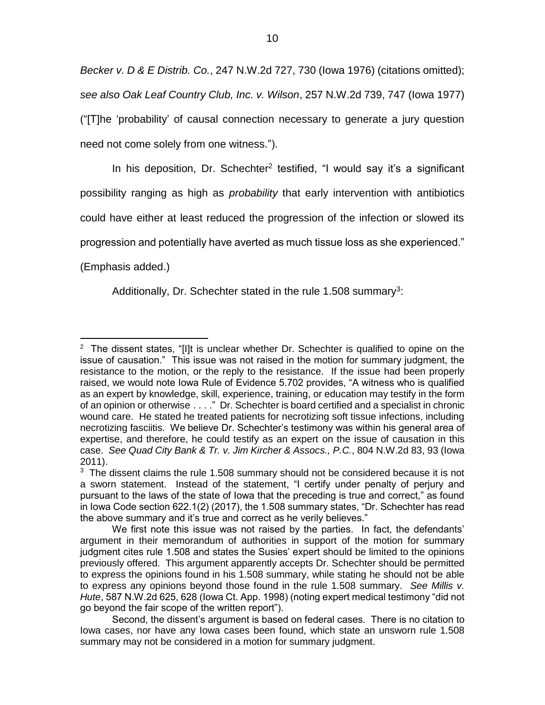*Becker v. D & E Distrib. Co.*, 247 N.W.2d 727, 730 (Iowa 1976) (citations omitted); *see also Oak Leaf Country Club, Inc. v. Wilson*, 257 N.W.2d 739, 747 (Iowa 1977) ("[T]he 'probability' of causal connection necessary to generate a jury question need not come solely from one witness.").

In his deposition, Dr. Schechter<sup>2</sup> testified, "I would say it's a significant possibility ranging as high as *probability* that early intervention with antibiotics could have either at least reduced the progression of the infection or slowed its progression and potentially have averted as much tissue loss as she experienced."

(Emphasis added.)

Additionally, Dr. Schechter stated in the rule 1.508 summary<sup>3</sup>:

 $\overline{a}$ <sup>2</sup> The dissent states, "[I]t is unclear whether Dr. Schechter is qualified to opine on the issue of causation." This issue was not raised in the motion for summary judgment, the resistance to the motion, or the reply to the resistance. If the issue had been properly raised, we would note Iowa Rule of Evidence 5.702 provides, "A witness who is qualified as an expert by knowledge, skill, experience, training, or education may testify in the form of an opinion or otherwise . . . ." Dr. Schechter is board certified and a specialist in chronic wound care. He stated he treated patients for necrotizing soft tissue infections, including necrotizing fasciitis. We believe Dr. Schechter's testimony was within his general area of expertise, and therefore, he could testify as an expert on the issue of causation in this case. *See Quad City Bank & Tr. v. Jim Kircher & Assocs., P.C.*, 804 N.W.2d 83, 93 (Iowa 2011).

 $3$  The dissent claims the rule 1.508 summary should not be considered because it is not a sworn statement. Instead of the statement, "I certify under penalty of perjury and pursuant to the laws of the state of Iowa that the preceding is true and correct," as found in Iowa Code section 622.1(2) (2017), the 1.508 summary states, "Dr. Schechter has read the above summary and it's true and correct as he verily believes."

We first note this issue was not raised by the parties. In fact, the defendants' argument in their memorandum of authorities in support of the motion for summary judgment cites rule 1.508 and states the Susies' expert should be limited to the opinions previously offered. This argument apparently accepts Dr. Schechter should be permitted to express the opinions found in his 1.508 summary, while stating he should not be able to express any opinions beyond those found in the rule 1.508 summary. *See Millis v. Hute*, 587 N.W.2d 625, 628 (Iowa Ct. App. 1998) (noting expert medical testimony "did not go beyond the fair scope of the written report").

Second, the dissent's argument is based on federal cases. There is no citation to Iowa cases, nor have any Iowa cases been found, which state an unsworn rule 1.508 summary may not be considered in a motion for summary judgment.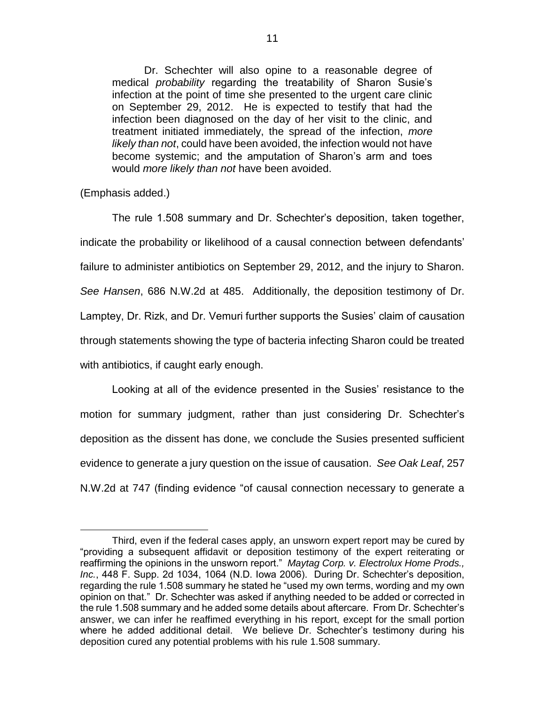Dr. Schechter will also opine to a reasonable degree of medical *probability* regarding the treatability of Sharon Susie's infection at the point of time she presented to the urgent care clinic on September 29, 2012. He is expected to testify that had the infection been diagnosed on the day of her visit to the clinic, and treatment initiated immediately, the spread of the infection, *more likely than not*, could have been avoided, the infection would not have become systemic; and the amputation of Sharon's arm and toes would *more likely than not* have been avoided.

(Emphasis added.)

 $\overline{a}$ 

The rule 1.508 summary and Dr. Schechter's deposition, taken together, indicate the probability or likelihood of a causal connection between defendants' failure to administer antibiotics on September 29, 2012, and the injury to Sharon. *See Hansen*, 686 N.W.2d at 485. Additionally, the deposition testimony of Dr. Lamptey, Dr. Rizk, and Dr. Vemuri further supports the Susies' claim of causation through statements showing the type of bacteria infecting Sharon could be treated with antibiotics, if caught early enough.

Looking at all of the evidence presented in the Susies' resistance to the motion for summary judgment, rather than just considering Dr. Schechter's deposition as the dissent has done, we conclude the Susies presented sufficient evidence to generate a jury question on the issue of causation. *See Oak Leaf*, 257 N.W.2d at 747 (finding evidence "of causal connection necessary to generate a

Third, even if the federal cases apply, an unsworn expert report may be cured by "providing a subsequent affidavit or deposition testimony of the expert reiterating or reaffirming the opinions in the unsworn report." *Maytag Corp. v. Electrolux Home Prods., Inc.*, 448 F. Supp. 2d 1034, 1064 (N.D. Iowa 2006). During Dr. Schechter's deposition, regarding the rule 1.508 summary he stated he "used my own terms, wording and my own opinion on that." Dr. Schechter was asked if anything needed to be added or corrected in the rule 1.508 summary and he added some details about aftercare. From Dr. Schechter's answer, we can infer he reaffimed everything in his report, except for the small portion where he added additional detail. We believe Dr. Schechter's testimony during his deposition cured any potential problems with his rule 1.508 summary.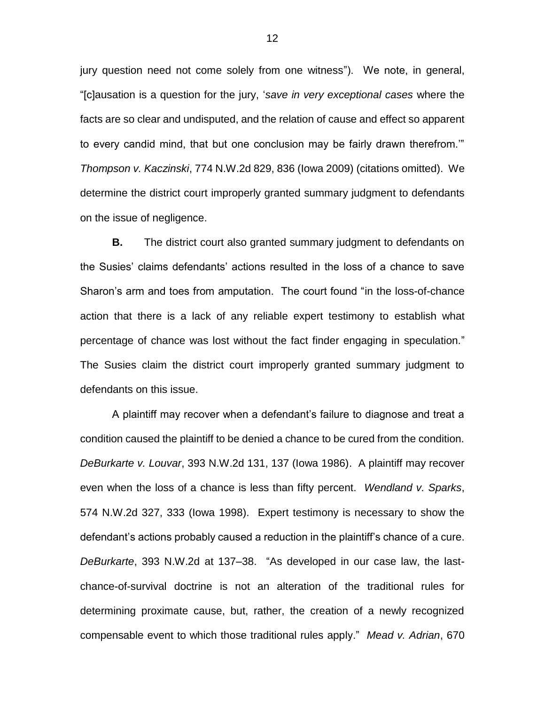jury question need not come solely from one witness"). We note, in general, "[c]ausation is a question for the jury, '*save in very exceptional cases* where the facts are so clear and undisputed, and the relation of cause and effect so apparent to every candid mind, that but one conclusion may be fairly drawn therefrom.'" *Thompson v. Kaczinski*, 774 N.W.2d 829, 836 (Iowa 2009) (citations omitted). We determine the district court improperly granted summary judgment to defendants on the issue of negligence.

**B.** The district court also granted summary judgment to defendants on the Susies' claims defendants' actions resulted in the loss of a chance to save Sharon's arm and toes from amputation. The court found "in the loss-of-chance action that there is a lack of any reliable expert testimony to establish what percentage of chance was lost without the fact finder engaging in speculation." The Susies claim the district court improperly granted summary judgment to defendants on this issue.

A plaintiff may recover when a defendant's failure to diagnose and treat a condition caused the plaintiff to be denied a chance to be cured from the condition. *DeBurkarte v. Louvar*, 393 N.W.2d 131, 137 (Iowa 1986). A plaintiff may recover even when the loss of a chance is less than fifty percent. *Wendland v. Sparks*, 574 N.W.2d 327, 333 (Iowa 1998). Expert testimony is necessary to show the defendant's actions probably caused a reduction in the plaintiff's chance of a cure. *DeBurkarte*, 393 N.W.2d at 137–38. "As developed in our case law, the lastchance-of-survival doctrine is not an alteration of the traditional rules for determining proximate cause, but, rather, the creation of a newly recognized compensable event to which those traditional rules apply." *Mead v. Adrian*, 670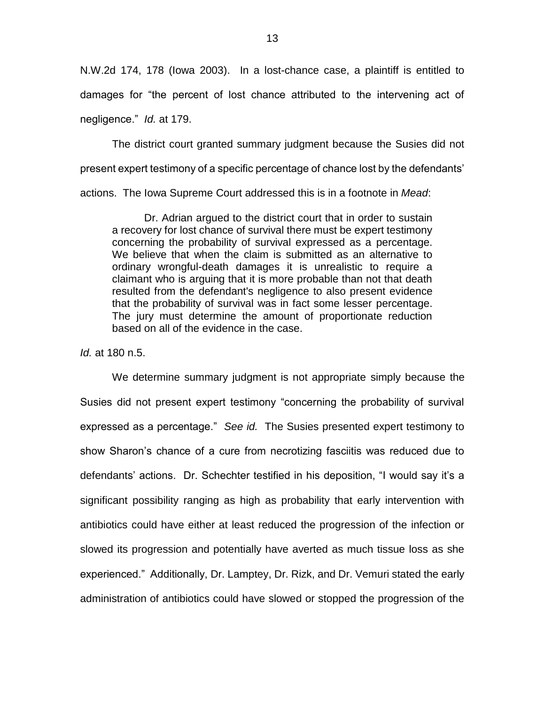N.W.2d 174, 178 (Iowa 2003). In a lost-chance case, a plaintiff is entitled to damages for "the percent of lost chance attributed to the intervening act of negligence." *Id.* at 179.

The district court granted summary judgment because the Susies did not present expert testimony of a specific percentage of chance lost by the defendants' actions. The Iowa Supreme Court addressed this is in a footnote in *Mead*:

Dr. Adrian argued to the district court that in order to sustain a recovery for lost chance of survival there must be expert testimony concerning the probability of survival expressed as a percentage. We believe that when the claim is submitted as an alternative to ordinary wrongful-death damages it is unrealistic to require a claimant who is arguing that it is more probable than not that death resulted from the defendant's negligence to also present evidence that the probability of survival was in fact some lesser percentage. The jury must determine the amount of proportionate reduction based on all of the evidence in the case.

*Id.* at 180 n.5.

We determine summary judgment is not appropriate simply because the Susies did not present expert testimony "concerning the probability of survival expressed as a percentage." *See id.* The Susies presented expert testimony to show Sharon's chance of a cure from necrotizing fasciitis was reduced due to defendants' actions. Dr. Schechter testified in his deposition, "I would say it's a significant possibility ranging as high as probability that early intervention with antibiotics could have either at least reduced the progression of the infection or slowed its progression and potentially have averted as much tissue loss as she experienced." Additionally, Dr. Lamptey, Dr. Rizk, and Dr. Vemuri stated the early administration of antibiotics could have slowed or stopped the progression of the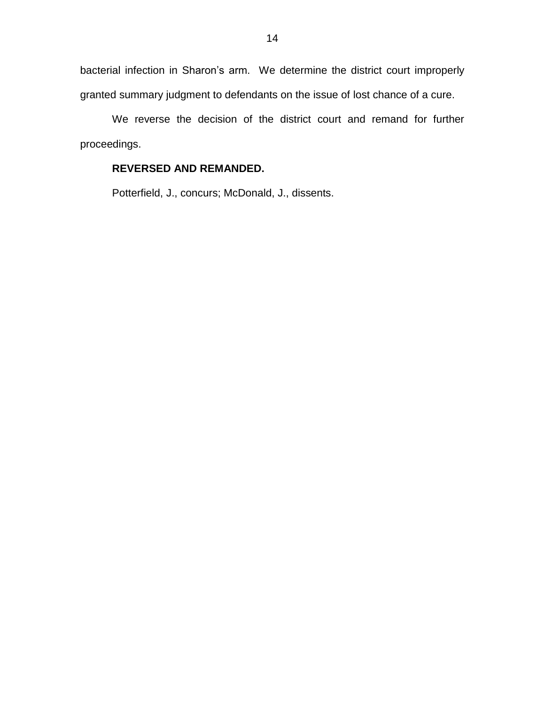bacterial infection in Sharon's arm. We determine the district court improperly granted summary judgment to defendants on the issue of lost chance of a cure.

We reverse the decision of the district court and remand for further proceedings.

## **REVERSED AND REMANDED.**

Potterfield, J., concurs; McDonald, J., dissents.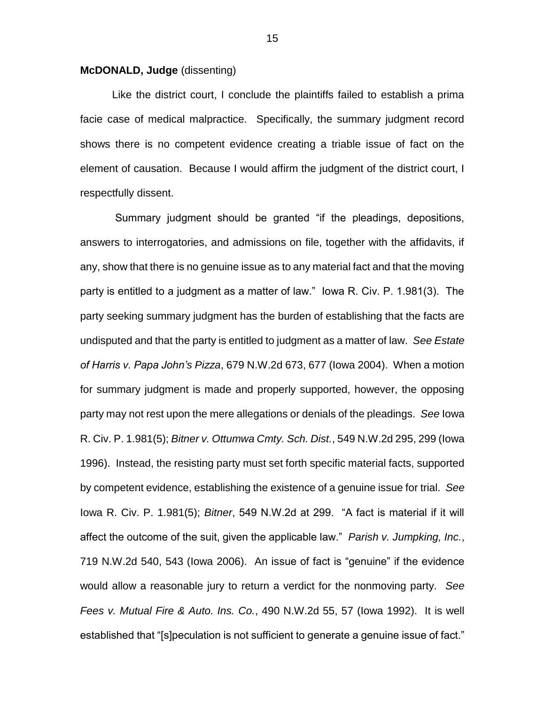### **McDONALD, Judge** (dissenting)

Like the district court, I conclude the plaintiffs failed to establish a prima facie case of medical malpractice. Specifically, the summary judgment record shows there is no competent evidence creating a triable issue of fact on the element of causation. Because I would affirm the judgment of the district court, I respectfully dissent.

Summary judgment should be granted "if the pleadings, depositions, answers to interrogatories, and admissions on file, together with the affidavits, if any, show that there is no genuine issue as to any material fact and that the moving party is entitled to a judgment as a matter of law." Iowa R. Civ. P. 1.981(3). The party seeking summary judgment has the burden of establishing that the facts are undisputed and that the party is entitled to judgment as a matter of law. *See Estate of Harris v. Papa John's Pizza*, 679 N.W.2d 673, 677 (Iowa 2004). When a motion for summary judgment is made and properly supported, however, the opposing party may not rest upon the mere allegations or denials of the pleadings. *See* Iowa R. Civ. P. 1.981(5); *Bitner v. Ottumwa Cmty. Sch. Dist.*, 549 N.W.2d 295, 299 (Iowa 1996). Instead, the resisting party must set forth specific material facts, supported by competent evidence, establishing the existence of a genuine issue for trial. *See* Iowa R. Civ. P. 1.981(5); *Bitner*, 549 N.W.2d at 299. "A fact is material if it will affect the outcome of the suit, given the applicable law." *Parish v. Jumpking, Inc.*, 719 N.W.2d 540, 543 (Iowa 2006). An issue of fact is "genuine" if the evidence would allow a reasonable jury to return a verdict for the nonmoving party. *See Fees v. Mutual Fire & Auto. Ins. Co.*, 490 N.W.2d 55, 57 (Iowa 1992). It is well established that "[s]peculation is not sufficient to generate a genuine issue of fact."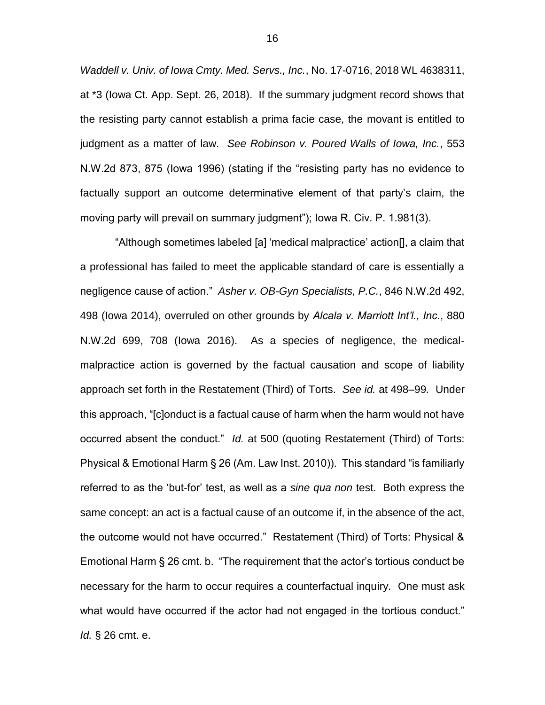*Waddell v. Univ. of Iowa Cmty. Med. Servs., Inc.*, No. 17-0716, 2018 WL 4638311, at \*3 (Iowa Ct. App. Sept. 26, 2018). If the summary judgment record shows that the resisting party cannot establish a prima facie case, the movant is entitled to judgment as a matter of law. *See Robinson v. Poured Walls of Iowa, Inc.*, 553 N.W.2d 873, 875 (Iowa 1996) (stating if the "resisting party has no evidence to factually support an outcome determinative element of that party's claim, the moving party will prevail on summary judgment"); Iowa R. Civ. P. 1.981(3).

"Although sometimes labeled [a] 'medical malpractice' action[], a claim that a professional has failed to meet the applicable standard of care is essentially a negligence cause of action." *Asher v. OB-Gyn Specialists, P.C.*, 846 N.W.2d 492, 498 (Iowa 2014), overruled on other grounds by *Alcala v. Marriott Int'l., Inc.*, 880 N.W.2d 699, 708 (Iowa 2016). As a species of negligence, the medicalmalpractice action is governed by the factual causation and scope of liability approach set forth in the Restatement (Third) of Torts. *See id.* at 498–99*.* Under this approach, "[c]onduct is a factual cause of harm when the harm would not have occurred absent the conduct." *Id.* at 500 (quoting Restatement (Third) of Torts: Physical & Emotional Harm § 26 (Am. Law Inst. 2010)). This standard "is familiarly referred to as the 'but-for' test, as well as a *sine qua non* test. Both express the same concept: an act is a factual cause of an outcome if, in the absence of the act, the outcome would not have occurred." Restatement (Third) of Torts: Physical & Emotional Harm § 26 cmt. b. "The requirement that the actor's tortious conduct be necessary for the harm to occur requires a counterfactual inquiry. One must ask what would have occurred if the actor had not engaged in the tortious conduct." *Id.* § 26 cmt. e.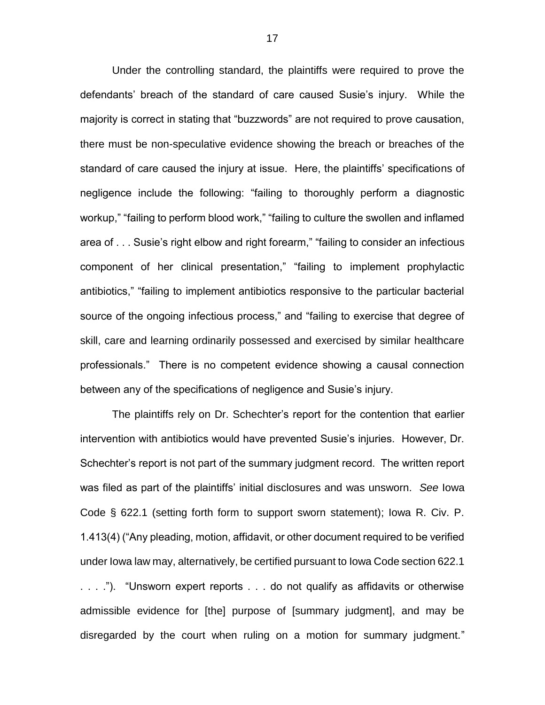Under the controlling standard, the plaintiffs were required to prove the defendants' breach of the standard of care caused Susie's injury. While the majority is correct in stating that "buzzwords" are not required to prove causation, there must be non-speculative evidence showing the breach or breaches of the standard of care caused the injury at issue. Here, the plaintiffs' specifications of negligence include the following: "failing to thoroughly perform a diagnostic workup," "failing to perform blood work," "failing to culture the swollen and inflamed area of . . . Susie's right elbow and right forearm," "failing to consider an infectious component of her clinical presentation," "failing to implement prophylactic antibiotics," "failing to implement antibiotics responsive to the particular bacterial source of the ongoing infectious process," and "failing to exercise that degree of skill, care and learning ordinarily possessed and exercised by similar healthcare professionals." There is no competent evidence showing a causal connection between any of the specifications of negligence and Susie's injury.

The plaintiffs rely on Dr. Schechter's report for the contention that earlier intervention with antibiotics would have prevented Susie's injuries. However, Dr. Schechter's report is not part of the summary judgment record. The written report was filed as part of the plaintiffs' initial disclosures and was unsworn. *See* Iowa Code § 622.1 (setting forth form to support sworn statement); Iowa R. Civ. P. 1.413(4) ("Any pleading, motion, affidavit, or other document required to be verified under Iowa law may, alternatively, be certified pursuant to Iowa Code section 622.1 . . . ."). "Unsworn expert reports . . . do not qualify as affidavits or otherwise admissible evidence for [the] purpose of [summary judgment], and may be disregarded by the court when ruling on a motion for summary judgment."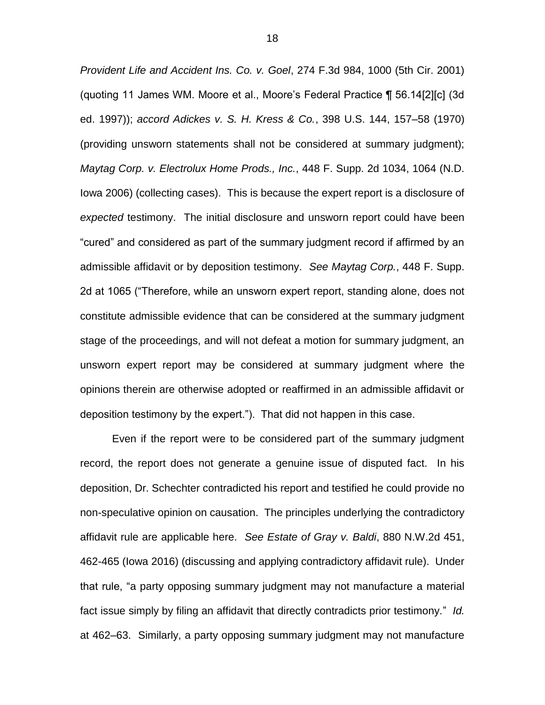*Provident Life and Accident Ins. Co. v. Goel*, 274 F.3d 984, 1000 (5th Cir. 2001) (quoting 11 James WM. Moore et al., Moore's Federal Practice ¶ 56.14[2][c] (3d ed. 1997)); *accord Adickes v. S. H. Kress & Co.*, 398 U.S. 144, 157–58 (1970) (providing unsworn statements shall not be considered at summary judgment); *Maytag Corp. v. Electrolux Home Prods., Inc.*, 448 F. Supp. 2d 1034, 1064 (N.D. Iowa 2006) (collecting cases). This is because the expert report is a disclosure of *expected* testimony. The initial disclosure and unsworn report could have been "cured" and considered as part of the summary judgment record if affirmed by an admissible affidavit or by deposition testimony. *See Maytag Corp.*, 448 F. Supp. 2d at 1065 ("Therefore, while an unsworn expert report, standing alone, does not constitute admissible evidence that can be considered at the summary judgment stage of the proceedings, and will not defeat a motion for summary judgment, an unsworn expert report may be considered at summary judgment where the opinions therein are otherwise adopted or reaffirmed in an admissible affidavit or deposition testimony by the expert."). That did not happen in this case.

Even if the report were to be considered part of the summary judgment record, the report does not generate a genuine issue of disputed fact. In his deposition, Dr. Schechter contradicted his report and testified he could provide no non-speculative opinion on causation. The principles underlying the contradictory affidavit rule are applicable here. *See Estate of Gray v. Baldi*, 880 N.W.2d 451, 462-465 (Iowa 2016) (discussing and applying contradictory affidavit rule). Under that rule, "a party opposing summary judgment may not manufacture a material fact issue simply by filing an affidavit that directly contradicts prior testimony." *Id.* at 462–63. Similarly, a party opposing summary judgment may not manufacture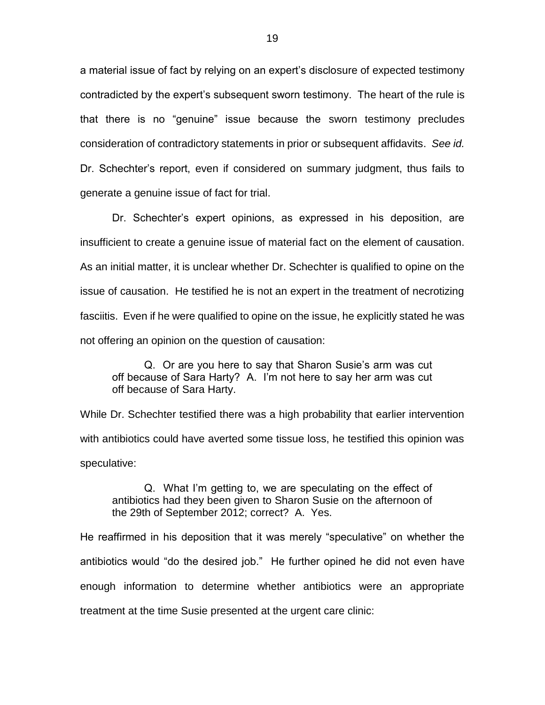a material issue of fact by relying on an expert's disclosure of expected testimony contradicted by the expert's subsequent sworn testimony. The heart of the rule is that there is no "genuine" issue because the sworn testimony precludes consideration of contradictory statements in prior or subsequent affidavits. *See id.* Dr. Schechter's report, even if considered on summary judgment, thus fails to generate a genuine issue of fact for trial.

Dr. Schechter's expert opinions, as expressed in his deposition, are insufficient to create a genuine issue of material fact on the element of causation. As an initial matter, it is unclear whether Dr. Schechter is qualified to opine on the issue of causation. He testified he is not an expert in the treatment of necrotizing fasciitis. Even if he were qualified to opine on the issue, he explicitly stated he was not offering an opinion on the question of causation:

Q. Or are you here to say that Sharon Susie's arm was cut off because of Sara Harty? A. I'm not here to say her arm was cut off because of Sara Harty.

While Dr. Schechter testified there was a high probability that earlier intervention with antibiotics could have averted some tissue loss, he testified this opinion was speculative:

Q. What I'm getting to, we are speculating on the effect of antibiotics had they been given to Sharon Susie on the afternoon of the 29th of September 2012; correct? A. Yes.

He reaffirmed in his deposition that it was merely "speculative" on whether the antibiotics would "do the desired job." He further opined he did not even have enough information to determine whether antibiotics were an appropriate treatment at the time Susie presented at the urgent care clinic: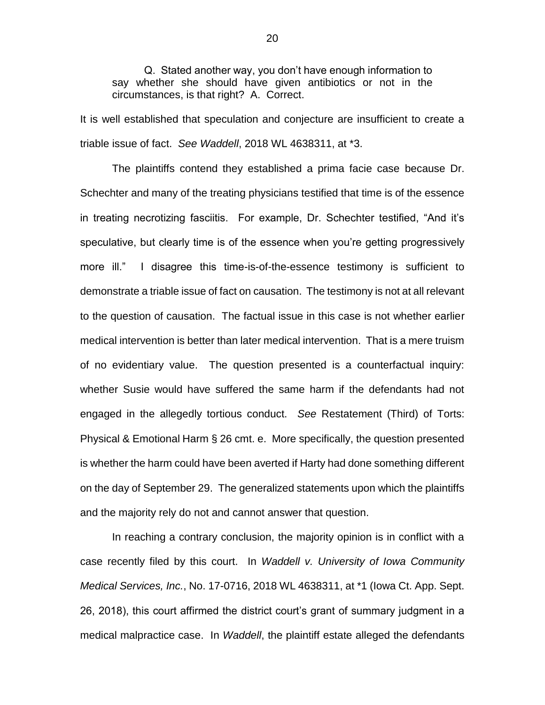Q. Stated another way, you don't have enough information to say whether she should have given antibiotics or not in the circumstances, is that right? A. Correct.

It is well established that speculation and conjecture are insufficient to create a triable issue of fact. *See Waddell*, 2018 WL 4638311, at \*3.

The plaintiffs contend they established a prima facie case because Dr. Schechter and many of the treating physicians testified that time is of the essence in treating necrotizing fasciitis. For example, Dr. Schechter testified, "And it's speculative, but clearly time is of the essence when you're getting progressively more ill." I disagree this time-is-of-the-essence testimony is sufficient to demonstrate a triable issue of fact on causation. The testimony is not at all relevant to the question of causation. The factual issue in this case is not whether earlier medical intervention is better than later medical intervention. That is a mere truism of no evidentiary value. The question presented is a counterfactual inquiry: whether Susie would have suffered the same harm if the defendants had not engaged in the allegedly tortious conduct. *See* Restatement (Third) of Torts: Physical & Emotional Harm § 26 cmt. e. More specifically, the question presented is whether the harm could have been averted if Harty had done something different on the day of September 29. The generalized statements upon which the plaintiffs and the majority rely do not and cannot answer that question.

In reaching a contrary conclusion, the majority opinion is in conflict with a case recently filed by this court. In *Waddell v. University of Iowa Community Medical Services, Inc.*, No. 17-0716, 2018 WL 4638311, at \*1 (Iowa Ct. App. Sept. 26, 2018), this court affirmed the district court's grant of summary judgment in a medical malpractice case. In *Waddell*, the plaintiff estate alleged the defendants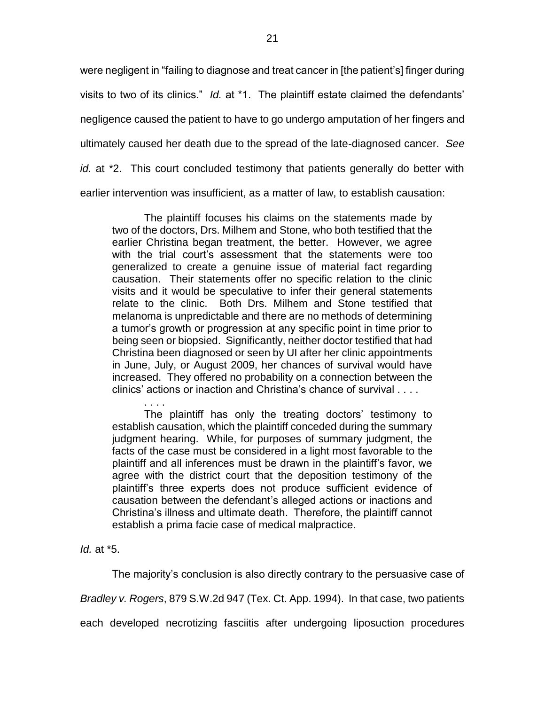were negligent in "failing to diagnose and treat cancer in [the patient's] finger during visits to two of its clinics." *Id.* at \*1. The plaintiff estate claimed the defendants' negligence caused the patient to have to go undergo amputation of her fingers and ultimately caused her death due to the spread of the late-diagnosed cancer. *See id.* at \*2. This court concluded testimony that patients generally do better with earlier intervention was insufficient, as a matter of law, to establish causation:

The plaintiff focuses his claims on the statements made by two of the doctors, Drs. Milhem and Stone, who both testified that the earlier Christina began treatment, the better. However, we agree with the trial court's assessment that the statements were too generalized to create a genuine issue of material fact regarding causation. Their statements offer no specific relation to the clinic visits and it would be speculative to infer their general statements relate to the clinic. Both Drs. Milhem and Stone testified that melanoma is unpredictable and there are no methods of determining a tumor's growth or progression at any specific point in time prior to being seen or biopsied. Significantly, neither doctor testified that had Christina been diagnosed or seen by UI after her clinic appointments in June, July, or August 2009, her chances of survival would have increased. They offered no probability on a connection between the clinics' actions or inaction and Christina's chance of survival . . . .

. . . . The plaintiff has only the treating doctors' testimony to establish causation, which the plaintiff conceded during the summary judgment hearing. While, for purposes of summary judgment, the facts of the case must be considered in a light most favorable to the plaintiff and all inferences must be drawn in the plaintiff's favor, we agree with the district court that the deposition testimony of the plaintiff's three experts does not produce sufficient evidence of causation between the defendant's alleged actions or inactions and Christina's illness and ultimate death. Therefore, the plaintiff cannot establish a prima facie case of medical malpractice.

*Id.* at \*5.

The majority's conclusion is also directly contrary to the persuasive case of

*Bradley v. Rogers*, 879 S.W.2d 947 (Tex. Ct. App. 1994). In that case, two patients

each developed necrotizing fasciitis after undergoing liposuction procedures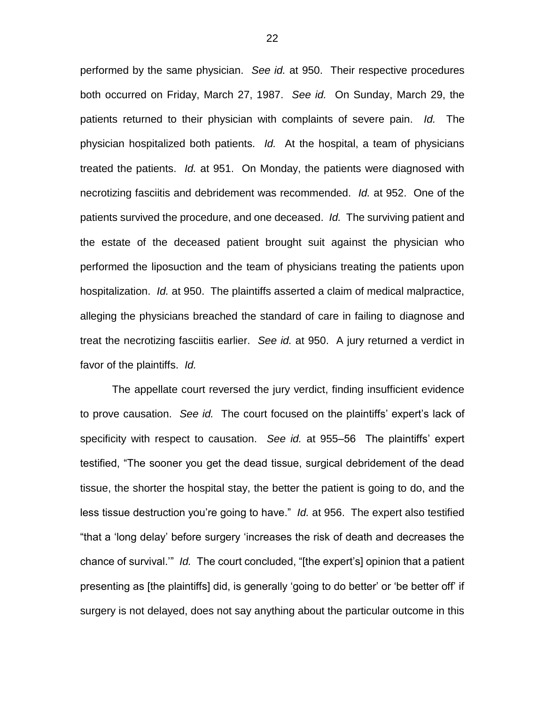performed by the same physician. *See id.* at 950. Their respective procedures both occurred on Friday, March 27, 1987. *See id.* On Sunday, March 29, the patients returned to their physician with complaints of severe pain. *Id.* The physician hospitalized both patients. *Id.* At the hospital, a team of physicians treated the patients. *Id.* at 951. On Monday, the patients were diagnosed with necrotizing fasciitis and debridement was recommended. *Id.* at 952. One of the patients survived the procedure, and one deceased. *Id.* The surviving patient and the estate of the deceased patient brought suit against the physician who performed the liposuction and the team of physicians treating the patients upon hospitalization. *Id.* at 950. The plaintiffs asserted a claim of medical malpractice, alleging the physicians breached the standard of care in failing to diagnose and treat the necrotizing fasciitis earlier. *See id.* at 950. A jury returned a verdict in favor of the plaintiffs. *Id.* 

The appellate court reversed the jury verdict, finding insufficient evidence to prove causation. *See id.* The court focused on the plaintiffs' expert's lack of specificity with respect to causation. *See id.* at 955–56 The plaintiffs' expert testified, "The sooner you get the dead tissue, surgical debridement of the dead tissue, the shorter the hospital stay, the better the patient is going to do, and the less tissue destruction you're going to have." *Id.* at 956. The expert also testified "that a 'long delay' before surgery 'increases the risk of death and decreases the chance of survival.'" *Id.* The court concluded, "[the expert's] opinion that a patient presenting as [the plaintiffs] did, is generally 'going to do better' or 'be better off' if surgery is not delayed, does not say anything about the particular outcome in this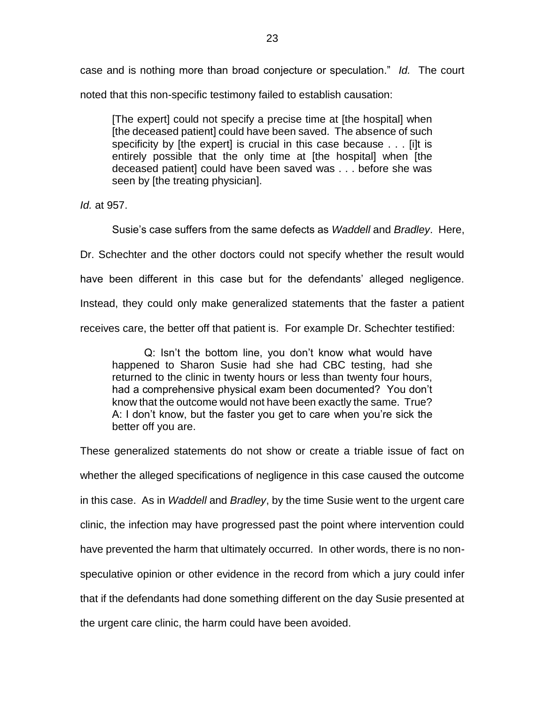case and is nothing more than broad conjecture or speculation." *Id.* The court noted that this non-specific testimony failed to establish causation:

[The expert] could not specify a precise time at [the hospital] when [the deceased patient] could have been saved. The absence of such specificity by [the expert] is crucial in this case because . . . [i]t is entirely possible that the only time at [the hospital] when [the deceased patient] could have been saved was . . . before she was seen by [the treating physician].

*Id.* at 957.

Susie's case suffers from the same defects as *Waddell* and *Bradley*. Here,

Dr. Schechter and the other doctors could not specify whether the result would

have been different in this case but for the defendants' alleged negligence.

Instead, they could only make generalized statements that the faster a patient

receives care, the better off that patient is. For example Dr. Schechter testified:

Q: Isn't the bottom line, you don't know what would have happened to Sharon Susie had she had CBC testing, had she returned to the clinic in twenty hours or less than twenty four hours, had a comprehensive physical exam been documented? You don't know that the outcome would not have been exactly the same. True? A: I don't know, but the faster you get to care when you're sick the better off you are.

These generalized statements do not show or create a triable issue of fact on whether the alleged specifications of negligence in this case caused the outcome in this case. As in *Waddell* and *Bradley*, by the time Susie went to the urgent care clinic, the infection may have progressed past the point where intervention could have prevented the harm that ultimately occurred. In other words, there is no nonspeculative opinion or other evidence in the record from which a jury could infer that if the defendants had done something different on the day Susie presented at the urgent care clinic, the harm could have been avoided.